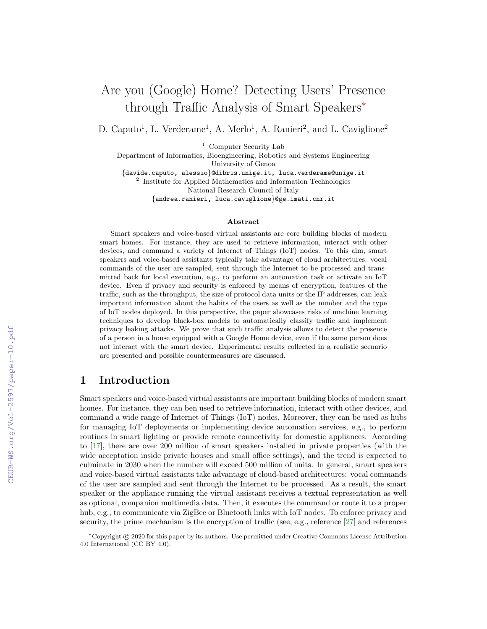# Are you (Google) Home? Detecting Users' Presence through Traffic Analysis of Smart Speakers<sup>∗</sup>

D. Caputo<sup>1</sup>, L. Verderame<sup>1</sup>, A. Merlo<sup>1</sup>, A. Ranieri<sup>2</sup>, and L. Caviglione<sup>2</sup>

<sup>1</sup> Computer Security Lab

Department of Informatics, Bioengineering, Robotics and Systems Engineering University of Genoa

{davide.caputo, alessio}@dibris.unige.it, luca.verderame@unige.it <sup>2</sup> Institute for Applied Mathematics and Information Technologies National Research Council of Italy

{andrea.ranieri, luca.caviglione}@ge.imati.cnr.it

#### Abstract

Smart speakers and voice-based virtual assistants are core building blocks of modern smart homes. For instance, they are used to retrieve information, interact with other devices, and command a variety of Internet of Things (IoT) nodes. To this aim, smart speakers and voice-based assistants typically take advantage of cloud architectures: vocal commands of the user are sampled, sent through the Internet to be processed and transmitted back for local execution, e.g., to perform an automation task or activate an IoT device. Even if privacy and security is enforced by means of encryption, features of the traffic, such as the throughput, the size of protocol data units or the IP addresses, can leak important information about the habits of the users as well as the number and the type of IoT nodes deployed. In this perspective, the paper showcases risks of machine learning techniques to develop black-box models to automatically classify traffic and implement privacy leaking attacks. We prove that such traffic analysis allows to detect the presence of a person in a house equipped with a Google Home device, even if the same person does not interact with the smart device. Experimental results collected in a realistic scenario are presented and possible countermeasures are discussed.

### 1 Introduction

Smart speakers and voice-based virtual assistants are important building blocks of modern smart homes. For instance, they can ben used to retrieve information, interact with other devices, and command a wide range of Internet of Things (IoT) nodes. Moreover, they can be used as hubs for managing IoT deployments or implementing device automation services, e.g., to perform routines in smart lighting or provide remote connectivity for domestic appliances. According to [\[17\]](#page--1-0), there are over 200 million of smart speakers installed in private properties (with the wide acceptation inside private houses and small office settings), and the trend is expected to culminate in 2030 when the number will exceed 500 million of units. In general, smart speakers and voice-based virtual assistants take advantage of cloud-based architectures: vocal commands of the user are sampled and sent through the Internet to be processed. As a result, the smart speaker or the appliance running the virtual assistant receives a textual representation as well as optional, companion multimedia data. Then, it executes the command or route it to a proper hub, e.g., to communicate via ZigBee or Bluetooth links with IoT nodes. To enforce privacy and security, the prime mechanism is the encryption of traffic (see, e.g., reference [\[27\]](#page--1-1) and references

<sup>∗</sup>Copyright c 2020 for this paper by its authors. Use permitted under Creative Commons License Attribution 4.0 International (CC BY 4.0).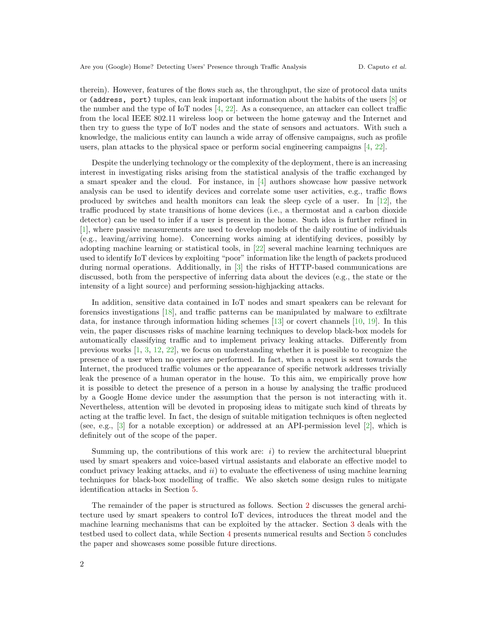therein). However, features of the flows such as, the throughput, the size of protocol data units or (address, port) tuples, can leak important information about the habits of the users [\[8\]](#page-9-0) or the number and the type of IoT nodes [\[4,](#page-9-1) [22\]](#page-10-0). As a consequence, an attacker can collect traffic from the local IEEE 802.11 wireless loop or between the home gateway and the Internet and then try to guess the type of IoT nodes and the state of sensors and actuators. With such a knowledge, the malicious entity can launch a wide array of offensive campaigns, such as profile users, plan attacks to the physical space or perform social engineering campaigns [\[4,](#page-9-1) [22\]](#page-10-0).

Despite the underlying technology or the complexity of the deployment, there is an increasing interest in investigating risks arising from the statistical analysis of the traffic exchanged by a smart speaker and the cloud. For instance, in [\[4\]](#page-9-1) authors showcase how passive network analysis can be used to identify devices and correlate some user activities, e.g., traffic flows produced by switches and health monitors can leak the sleep cycle of a user. In [\[12\]](#page-9-2), the traffic produced by state transitions of home devices (i.e., a thermostat and a carbon dioxide detector) can be used to infer if a user is present in the home. Such idea is further refined in [\[1\]](#page-9-3), where passive measurements are used to develop models of the daily routine of individuals (e.g., leaving/arriving home). Concerning works aiming at identifying devices, possibly by adopting machine learning or statistical tools, in [\[22\]](#page-10-0) several machine learning techniques are used to identify IoT devices by exploiting "poor" information like the length of packets produced during normal operations. Additionally, in [\[3\]](#page-9-4) the risks of HTTP-based communications are discussed, both from the perspective of inferring data about the devices (e.g., the state or the intensity of a light source) and performing session-highjacking attacks.

In addition, sensitive data contained in IoT nodes and smart speakers can be relevant for forensics investigations [\[18\]](#page-10-1), and traffic patterns can be manipulated by malware to exfiltrate data, for instance through information hiding schemes [\[13\]](#page-9-5) or covert channels [\[10,](#page-9-6) [19\]](#page-10-2). In this vein, the paper discusses risks of machine learning techniques to develop black-box models for automatically classifying traffic and to implement privacy leaking attacks. Differently from previous works [\[1,](#page-9-3) [3,](#page-9-4) [12,](#page-9-2) [22\]](#page-10-0), we focus on understanding whether it is possible to recognize the presence of a user when no queries are performed. In fact, when a request is sent towards the Internet, the produced traffic volumes or the appearance of specific network addresses trivially leak the presence of a human operator in the house. To this aim, we empirically prove how it is possible to detect the presence of a person in a house by analysing the traffic produced by a Google Home device under the assumption that the person is not interacting with it. Nevertheless, attention will be devoted in proposing ideas to mitigate such kind of threats by acting at the traffic level. In fact, the design of suitable mitigation techniques is often neglected (see, e.g., [\[3\]](#page-9-4) for a notable exception) or addressed at an API-permission level [\[2\]](#page-9-7), which is definitely out of the scope of the paper.

Summing up, the contributions of this work are:  $i)$  to review the architectural blueprint used by smart speakers and voice-based virtual assistants and elaborate an effective model to conduct privacy leaking attacks, and ii) to evaluate the effectiveness of using machine learning techniques for black-box modelling of traffic. We also sketch some design rules to mitigate identification attacks in Section [5.](#page-8-0)

The remainder of the paper is structured as follows. Section [2](#page-2-0) discusses the general architecture used by smart speakers to control IoT devices, introduces the threat model and the machine learning mechanisms that can be exploited by the attacker. Section [3](#page-5-0) deals with the testbed used to collect data, while Section [4](#page-7-0) presents numerical results and Section [5](#page-8-0) concludes the paper and showcases some possible future directions.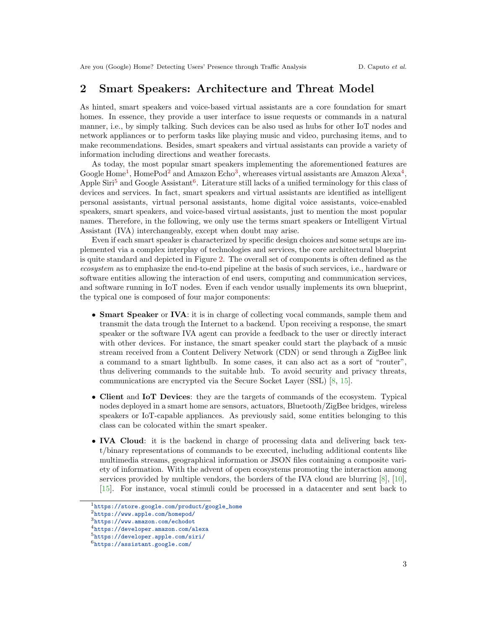### <span id="page-2-0"></span>2 Smart Speakers: Architecture and Threat Model

As hinted, smart speakers and voice-based virtual assistants are a core foundation for smart homes. In essence, they provide a user interface to issue requests or commands in a natural manner, i.e., by simply talking. Such devices can be also used as hubs for other IoT nodes and network appliances or to perform tasks like playing music and video, purchasing items, and to make recommendations. Besides, smart speakers and virtual assistants can provide a variety of information including directions and weather forecasts.

As today, the most popular smart speakers implementing the aforementioned features are Google Home<sup>[1](#page-2-1)</sup>, HomePod<sup>[2](#page-2-2)</sup> and Amazon Echo<sup>[3](#page-2-3)</sup>, whereases virtual assistants are Amazon Alexa<sup>[4](#page-2-4)</sup>, Apple Siri<sup>[5](#page-2-5)</sup> and Google Assistant<sup>[6](#page-2-6)</sup>. Literature still lacks of a unified terminology for this class of devices and services. In fact, smart speakers and virtual assistants are identified as intelligent personal assistants, virtual personal assistants, home digital voice assistants, voice-enabled speakers, smart speakers, and voice-based virtual assistants, just to mention the most popular names. Therefore, in the following, we only use the terms smart speakers or Intelligent Virtual Assistant (IVA) interchangeably, except when doubt may arise.

Even if each smart speaker is characterized by specific design choices and some setups are implemented via a complex interplay of technologies and services, the core architectural blueprint is quite standard and depicted in Figure [2.](#page-11-0) The overall set of components is often defined as the ecosystem as to emphasize the end-to-end pipeline at the basis of such services, i.e., hardware or software entities allowing the interaction of end users, computing and communication services, and software running in IoT nodes. Even if each vendor usually implements its own blueprint, the typical one is composed of four major components:

- **Smart Speaker** or **IVA**: it is in charge of collecting vocal commands, sample them and transmit the data trough the Internet to a backend. Upon receiving a response, the smart speaker or the software IVA agent can provide a feedback to the user or directly interact with other devices. For instance, the smart speaker could start the playback of a music stream received from a Content Delivery Network (CDN) or send through a ZigBee link a command to a smart lightbulb. In some cases, it can also act as a sort of "router", thus delivering commands to the suitable hub. To avoid security and privacy threats, communications are encrypted via the Secure Socket Layer (SSL) [\[8,](#page-9-0) [15\]](#page-10-3).
- Client and IoT Devices: they are the targets of commands of the ecosystem. Typical nodes deployed in a smart home are sensors, actuators, Bluetooth/ZigBee bridges, wireless speakers or IoT-capable appliances. As previously said, some entities belonging to this class can be colocated within the smart speaker.
- IVA Cloud: it is the backend in charge of processing data and delivering back text/binary representations of commands to be executed, including additional contents like multimedia streams, geographical information or JSON files containing a composite variety of information. With the advent of open ecosystems promoting the interaction among services provided by multiple vendors, the borders of the IVA cloud are blurring [\[8\]](#page-9-0), [\[10\]](#page-9-6), [\[15\]](#page-10-3). For instance, vocal stimuli could be processed in a datacenter and sent back to

<span id="page-2-5"></span><sup>5</sup><https://developer.apple.com/siri/>

<span id="page-2-1"></span><sup>1</sup>[https://store.google.com/product/google\\_home](https://store.google.com/product/google_home)

<span id="page-2-2"></span><sup>2</sup><https://www.apple.com/homepod/>

<span id="page-2-3"></span><sup>3</sup><https://www.amazon.com/echodot>

<span id="page-2-4"></span><sup>4</sup><https://developer.amazon.com/alexa>

<span id="page-2-6"></span> $^6$ <https://assistant.google.com/>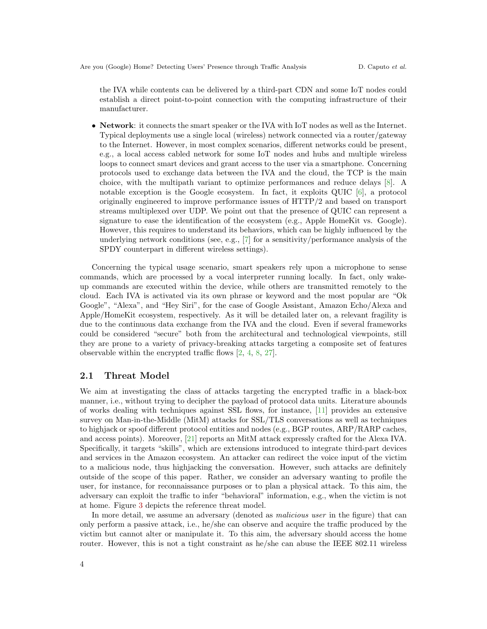the IVA while contents can be delivered by a third-part CDN and some IoT nodes could establish a direct point-to-point connection with the computing infrastructure of their manufacturer.

• Network: it connects the smart speaker or the IVA with IoT nodes as well as the Internet. Typical deployments use a single local (wireless) network connected via a router/gateway to the Internet. However, in most complex scenarios, different networks could be present, e.g., a local access cabled network for some IoT nodes and hubs and multiple wireless loops to connect smart devices and grant access to the user via a smartphone. Concerning protocols used to exchange data between the IVA and the cloud, the TCP is the main choice, with the multipath variant to optimize performances and reduce delays [\[8\]](#page-9-0). A notable exception is the Google ecosystem. In fact, it exploits QUIC [\[6\]](#page-9-8), a protocol originally engineered to improve performance issues of HTTP/2 and based on transport streams multiplexed over UDP. We point out that the presence of QUIC can represent a signature to ease the identification of the ecosystem (e.g., Apple HomeKit vs. Google). However, this requires to understand its behaviors, which can be highly influenced by the underlying network conditions (see, e.g., [\[7\]](#page-9-9) for a sensitivity/performance analysis of the SPDY counterpart in different wireless settings).

Concerning the typical usage scenario, smart speakers rely upon a microphone to sense commands, which are processed by a vocal interpreter running locally. In fact, only wakeup commands are executed within the device, while others are transmitted remotely to the cloud. Each IVA is activated via its own phrase or keyword and the most popular are "Ok Google", "Alexa", and "Hey Siri", for the case of Google Assistant, Amazon Echo/Alexa and Apple/HomeKit ecosystem, respectively. As it will be detailed later on, a relevant fragility is due to the continuous data exchange from the IVA and the cloud. Even if several frameworks could be considered "secure" both from the architectural and technological viewpoints, still they are prone to a variety of privacy-breaking attacks targeting a composite set of features observable within the encrypted traffic flows [\[2,](#page-9-7) [4,](#page-9-1) [8,](#page-9-0) [27\]](#page-10-4).

#### 2.1 Threat Model

We aim at investigating the class of attacks targeting the encrypted traffic in a black-box manner, i.e., without trying to decipher the payload of protocol data units. Literature abounds of works dealing with techniques against SSL flows, for instance, [\[11\]](#page-9-10) provides an extensive survey on Man-in-the-Middle (MitM) attacks for SSL/TLS conversations as well as techniques to highjack or spoof different protocol entities and nodes (e.g., BGP routes, ARP/RARP caches, and access points). Moreover, [\[21\]](#page-10-5) reports an MitM attack expressly crafted for the Alexa IVA. Specifically, it targets "skills", which are extensions introduced to integrate third-part devices and services in the Amazon ecosystem. An attacker can redirect the voice input of the victim to a malicious node, thus highjacking the conversation. However, such attacks are definitely outside of the scope of this paper. Rather, we consider an adversary wanting to profile the user, for instance, for reconnaissance purposes or to plan a physical attack. To this aim, the adversary can exploit the traffic to infer "behavioral" information, e.g., when the victim is not at home. Figure [3](#page-11-1) depicts the reference threat model.

In more detail, we assume an adversary (denoted as *malicious user* in the figure) that can only perform a passive attack, i.e., he/she can observe and acquire the traffic produced by the victim but cannot alter or manipulate it. To this aim, the adversary should access the home router. However, this is not a tight constraint as he/she can abuse the IEEE 802.11 wireless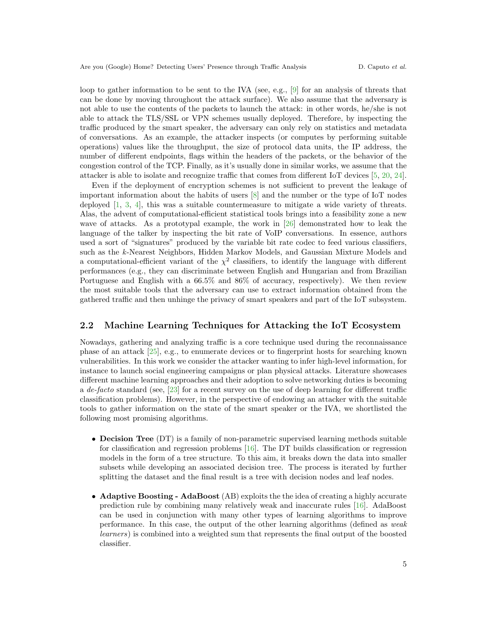loop to gather information to be sent to the IVA (see, e.g.,  $[9]$  for an analysis of threats that can be done by moving throughout the attack surface). We also assume that the adversary is not able to use the contents of the packets to launch the attack: in other words, he/she is not able to attack the TLS/SSL or VPN schemes usually deployed. Therefore, by inspecting the traffic produced by the smart speaker, the adversary can only rely on statistics and metadata of conversations. As an example, the attacker inspects (or computes by performing suitable operations) values like the throughput, the size of protocol data units, the IP address, the number of different endpoints, flags within the headers of the packets, or the behavior of the congestion control of the TCP. Finally, as it's usually done in similar works, we assume that the attacker is able to isolate and recognize traffic that comes from different IoT devices [\[5,](#page-9-12) [20,](#page-10-6) [24\]](#page-10-7).

Even if the deployment of encryption schemes is not sufficient to prevent the leakage of important information about the habits of users [\[8\]](#page-9-0) and the number or the type of IoT nodes deployed [\[1,](#page-9-3) [3,](#page-9-4) [4\]](#page-9-1), this was a suitable countermeasure to mitigate a wide variety of threats. Alas, the advent of computational-efficient statistical tools brings into a feasibility zone a new wave of attacks. As a prototypal example, the work in [\[26\]](#page-10-8) demonstrated how to leak the language of the talker by inspecting the bit rate of VoIP conversations. In essence, authors used a sort of "signatures" produced by the variable bit rate codec to feed various classifiers, such as the k-Nearest Neighbors, Hidden Markov Models, and Gaussian Mixture Models and a computational-efficient variant of the  $\chi^2$  classifiers, to identify the language with different performances (e.g., they can discriminate between English and Hungarian and from Brazilian Portuguese and English with a 66.5% and 86% of accuracy, respectively). We then review the most suitable tools that the adversary can use to extract information obtained from the gathered traffic and then unhinge the privacy of smart speakers and part of the IoT subsystem.

#### <span id="page-4-0"></span>2.2 Machine Learning Techniques for Attacking the IoT Ecosystem

Nowadays, gathering and analyzing traffic is a core technique used during the reconnaissance phase of an attack [\[25\]](#page-10-9), e.g., to enumerate devices or to fingerprint hosts for searching known vulnerabilities. In this work we consider the attacker wanting to infer high-level information, for instance to launch social engineering campaigns or plan physical attacks. Literature showcases different machine learning approaches and their adoption to solve networking duties is becoming a de-facto standard (see, [\[23\]](#page-10-10) for a recent survey on the use of deep learning for different traffic classification problems). However, in the perspective of endowing an attacker with the suitable tools to gather information on the state of the smart speaker or the IVA, we shortlisted the following most promising algorithms.

- Decision Tree (DT) is a family of non-parametric supervised learning methods suitable for classification and regression problems [\[16\]](#page-10-11). The DT builds classification or regression models in the form of a tree structure. To this aim, it breaks down the data into smaller subsets while developing an associated decision tree. The process is iterated by further splitting the dataset and the final result is a tree with decision nodes and leaf nodes.
- **Adaptive Boosting AdaBoost** (AB) exploits the the idea of creating a highly accurate prediction rule by combining many relatively weak and inaccurate rules [\[16\]](#page-10-11). AdaBoost can be used in conjunction with many other types of learning algorithms to improve performance. In this case, the output of the other learning algorithms (defined as weak learners) is combined into a weighted sum that represents the final output of the boosted classifier.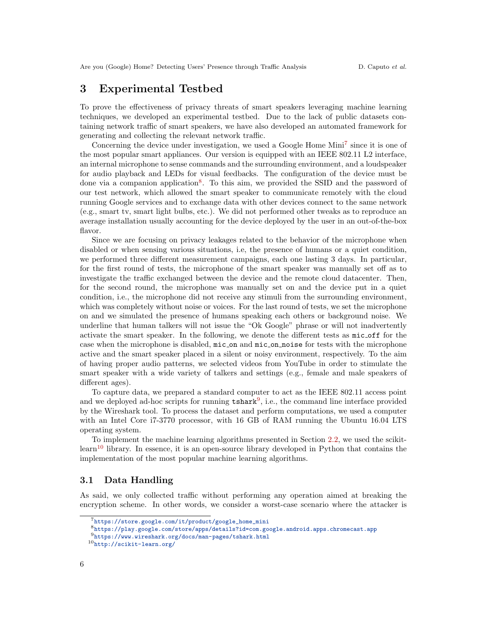### <span id="page-5-0"></span>3 Experimental Testbed

To prove the effectiveness of privacy threats of smart speakers leveraging machine learning techniques, we developed an experimental testbed. Due to the lack of public datasets containing network traffic of smart speakers, we have also developed an automated framework for generating and collecting the relevant network traffic.

Concerning the device under investigation, we used a Google Home Mini<sup>[7](#page-5-1)</sup> since it is one of the most popular smart appliances. Our version is equipped with an IEEE 802.11 L2 interface, an internal microphone to sense commands and the surrounding environment, and a loudspeaker for audio playback and LEDs for visual feedbacks. The configuration of the device must be done via a companion application<sup>[8](#page-5-2)</sup>. To this aim, we provided the SSID and the password of our test network, which allowed the smart speaker to communicate remotely with the cloud running Google services and to exchange data with other devices connect to the same network (e.g., smart tv, smart light bulbs, etc.). We did not performed other tweaks as to reproduce an average installation usually accounting for the device deployed by the user in an out-of-the-box flavor.

Since we are focusing on privacy leakages related to the behavior of the microphone when disabled or when sensing various situations, i.e, the presence of humans or a quiet condition, we performed three different measurement campaigns, each one lasting 3 days. In particular, for the first round of tests, the microphone of the smart speaker was manually set off as to investigate the traffic exchanged between the device and the remote cloud datacenter. Then, for the second round, the microphone was manually set on and the device put in a quiet condition, i.e., the microphone did not receive any stimuli from the surrounding environment, which was completely without noise or voices. For the last round of tests, we set the microphone on and we simulated the presence of humans speaking each others or background noise. We underline that human talkers will not issue the "Ok Google" phrase or will not inadvertently activate the smart speaker. In the following, we denote the different tests as  $\text{mic\_off}$  for the case when the microphone is disabled, mic on and mic on noise for tests with the microphone active and the smart speaker placed in a silent or noisy environment, respectively. To the aim of having proper audio patterns, we selected videos from YouTube in order to stimulate the smart speaker with a wide variety of talkers and settings (e.g., female and male speakers of different ages).

To capture data, we prepared a standard computer to act as the IEEE 802.11 access point and we deployed ad-hoc scripts for running  $\texttt{tshark}^9$  $\texttt{tshark}^9$ , i.e., the command line interface provided by the Wireshark tool. To process the dataset and perform computations, we used a computer with an Intel Core i<sub>7</sub>-3770 processor, with 16 GB of RAM running the Ubuntu 16.04 LTS operating system.

To implement the machine learning algorithms presented in Section [2.2,](#page-4-0) we used the scikit- $\text{learn}^{10}$  $\text{learn}^{10}$  $\text{learn}^{10}$  library. In essence, it is an open-source library developed in Python that contains the implementation of the most popular machine learning algorithms.

#### 3.1 Data Handling

As said, we only collected traffic without performing any operation aimed at breaking the encryption scheme. In other words, we consider a worst-case scenario where the attacker is

<span id="page-5-1"></span><sup>7</sup>[https://store.google.com/it/product/google\\_home\\_mini](https://store.google.com/it/product/google_home_mini)

<span id="page-5-3"></span><span id="page-5-2"></span><sup>8</sup><https://play.google.com/store/apps/details?id=com.google.android.apps.chromecast.app> <sup>9</sup><https://www.wireshark.org/docs/man-pages/tshark.html>

<span id="page-5-4"></span><sup>10</sup><http://scikit-learn.org/>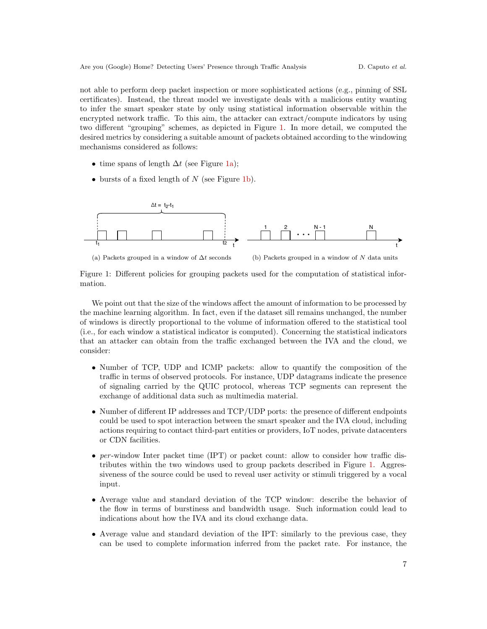not able to perform deep packet inspection or more sophisticated actions (e.g., pinning of SSL certificates). Instead, the threat model we investigate deals with a malicious entity wanting to infer the smart speaker state by only using statistical information observable within the encrypted network traffic. To this aim, the attacker can extract/compute indicators by using two different "grouping" schemes, as depicted in Figure [1.](#page-6-0) In more detail, we computed the desired metrics by considering a suitable amount of packets obtained according to the windowing mechanisms considered as follows:

- time spans of length  $\Delta t$  (see Figure [1a\)](#page-6-1);
- $\bullet$  bursts of a fixed length of N (see Figure [1b\)](#page-6-2).

<span id="page-6-1"></span><span id="page-6-0"></span>

(a) Packets grouped in a window of  $\Delta t$  seconds

<span id="page-6-2"></span>(b) Packets grouped in a window of  $N$  data units

Figure 1: Different policies for grouping packets used for the computation of statistical information.

We point out that the size of the windows affect the amount of information to be processed by the machine learning algorithm. In fact, even if the dataset sill remains unchanged, the number of windows is directly proportional to the volume of information offered to the statistical tool (i.e., for each window a statistical indicator is computed). Concerning the statistical indicators that an attacker can obtain from the traffic exchanged between the IVA and the cloud, we consider:

- Number of TCP, UDP and ICMP packets: allow to quantify the composition of the traffic in terms of observed protocols. For instance, UDP datagrams indicate the presence of signaling carried by the QUIC protocol, whereas TCP segments can represent the exchange of additional data such as multimedia material.
- Number of different IP addresses and TCP/UDP ports: the presence of different endpoints could be used to spot interaction between the smart speaker and the IVA cloud, including actions requiring to contact third-part entities or providers, IoT nodes, private datacenters or CDN facilities.
- per-window Inter packet time (IPT) or packet count: allow to consider how traffic distributes within the two windows used to group packets described in Figure [1.](#page-6-0) Aggressiveness of the source could be used to reveal user activity or stimuli triggered by a vocal input.
- Average value and standard deviation of the TCP window: describe the behavior of the flow in terms of burstiness and bandwidth usage. Such information could lead to indications about how the IVA and its cloud exchange data.
- Average value and standard deviation of the IPT: similarly to the previous case, they can be used to complete information inferred from the packet rate. For instance, the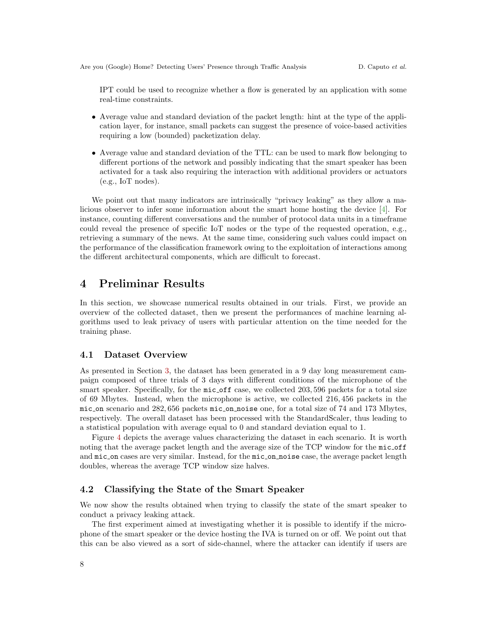IPT could be used to recognize whether a flow is generated by an application with some real-time constraints.

- Average value and standard deviation of the packet length: hint at the type of the application layer, for instance, small packets can suggest the presence of voice-based activities requiring a low (bounded) packetization delay.
- Average value and standard deviation of the TTL: can be used to mark flow belonging to different portions of the network and possibly indicating that the smart speaker has been activated for a task also requiring the interaction with additional providers or actuators (e.g., IoT nodes).

We point out that many indicators are intrinsically "privacy leaking" as they allow a malicious observer to infer some information about the smart home hosting the device [\[4\]](#page-9-1). For instance, counting different conversations and the number of protocol data units in a timeframe could reveal the presence of specific IoT nodes or the type of the requested operation, e.g., retrieving a summary of the news. At the same time, considering such values could impact on the performance of the classification framework owing to the exploitation of interactions among the different architectural components, which are difficult to forecast.

### <span id="page-7-0"></span>4 Preliminar Results

In this section, we showcase numerical results obtained in our trials. First, we provide an overview of the collected dataset, then we present the performances of machine learning algorithms used to leak privacy of users with particular attention on the time needed for the training phase.

#### 4.1 Dataset Overview

As presented in Section [3,](#page-5-0) the dataset has been generated in a 9 day long measurement campaign composed of three trials of 3 days with different conditions of the microphone of the smart speaker. Specifically, for the mic\_off case, we collected 203, 596 packets for a total size of 69 Mbytes. Instead, when the microphone is active, we collected 216, 456 packets in the mic on scenario and 282, 656 packets mic on noise one, for a total size of 74 and 173 Mbytes, respectively. The overall dataset has been processed with the StandardScaler, thus leading to a statistical population with average equal to 0 and standard deviation equal to 1.

Figure [4](#page-12-0) depicts the average values characterizing the dataset in each scenario. It is worth noting that the average packet length and the average size of the TCP window for the mic\_off and mic on cases are very similar. Instead, for the mic on noise case, the average packet length doubles, whereas the average TCP window size halves.

#### 4.2 Classifying the State of the Smart Speaker

We now show the results obtained when trying to classify the state of the smart speaker to conduct a privacy leaking attack.

The first experiment aimed at investigating whether it is possible to identify if the microphone of the smart speaker or the device hosting the IVA is turned on or off. We point out that this can be also viewed as a sort of side-channel, where the attacker can identify if users are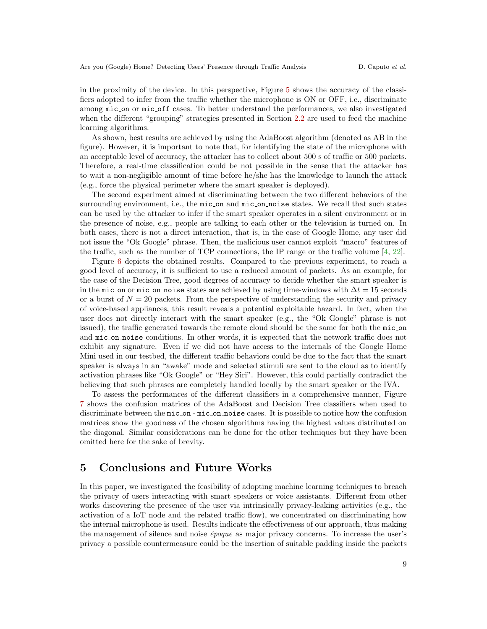in the proximity of the device. In this perspective, Figure [5](#page-12-1) shows the accuracy of the classifiers adopted to infer from the traffic whether the microphone is ON or OFF, i.e., discriminate among mic\_on or mic\_off cases. To better understand the performances, we also investigated when the different "grouping" strategies presented in Section [2.2](#page-4-0) are used to feed the machine learning algorithms.

As shown, best results are achieved by using the AdaBoost algorithm (denoted as AB in the figure). However, it is important to note that, for identifying the state of the microphone with an acceptable level of accuracy, the attacker has to collect about 500 s of traffic or 500 packets. Therefore, a real-time classification could be not possible in the sense that the attacker has to wait a non-negligible amount of time before he/she has the knowledge to launch the attack (e.g., force the physical perimeter where the smart speaker is deployed).

The second experiment aimed at discriminating between the two different behaviors of the surrounding environment, i.e., the mic\_on and mic\_on\_noise states. We recall that such states can be used by the attacker to infer if the smart speaker operates in a silent environment or in the presence of noise, e.g., people are talking to each other or the television is turned on. In both cases, there is not a direct interaction, that is, in the case of Google Home, any user did not issue the "Ok Google" phrase. Then, the malicious user cannot exploit "macro" features of the traffic, such as the number of TCP connections, the IP range or the traffic volume [\[4,](#page-9-1) [22\]](#page-10-0).

Figure [6](#page-13-0) depicts the obtained results. Compared to the previous experiment, to reach a good level of accuracy, it is sufficient to use a reduced amount of packets. As an example, for the case of the Decision Tree, good degrees of accuracy to decide whether the smart speaker is in the mic\_on or mic\_on\_noise states are achieved by using time-windows with  $\Delta t = 15$  seconds or a burst of  $N = 20$  packets. From the perspective of understanding the security and privacy of voice-based appliances, this result reveals a potential exploitable hazard. In fact, when the user does not directly interact with the smart speaker (e.g., the "Ok Google" phrase is not issued), the traffic generated towards the remote cloud should be the same for both the mic on and mic on noise conditions. In other words, it is expected that the network traffic does not exhibit any signature. Even if we did not have access to the internals of the Google Home Mini used in our testbed, the different traffic behaviors could be due to the fact that the smart speaker is always in an "awake" mode and selected stimuli are sent to the cloud as to identify activation phrases like "Ok Google" or "Hey Siri". However, this could partially contradict the believing that such phrases are completely handled locally by the smart speaker or the IVA.

To assess the performances of the different classifiers in a comprehensive manner, Figure [7](#page-13-1) shows the confusion matrices of the AdaBoost and Decision Tree classifiers when used to discriminate between the mic<sub>-</sub>on-mic-on-noise cases. It is possible to notice how the confusion matrices show the goodness of the chosen algorithms having the highest values distributed on the diagonal. Similar considerations can be done for the other techniques but they have been omitted here for the sake of brevity.

#### <span id="page-8-0"></span>5 Conclusions and Future Works

In this paper, we investigated the feasibility of adopting machine learning techniques to breach the privacy of users interacting with smart speakers or voice assistants. Different from other works discovering the presence of the user via intrinsically privacy-leaking activities (e.g., the activation of a IoT node and the related traffic flow), we concentrated on discriminating how the internal microphone is used. Results indicate the effectiveness of our approach, thus making the management of silence and noise  $\epsilon p_{0}$  as major privacy concerns. To increase the user's privacy a possible countermeasure could be the insertion of suitable padding inside the packets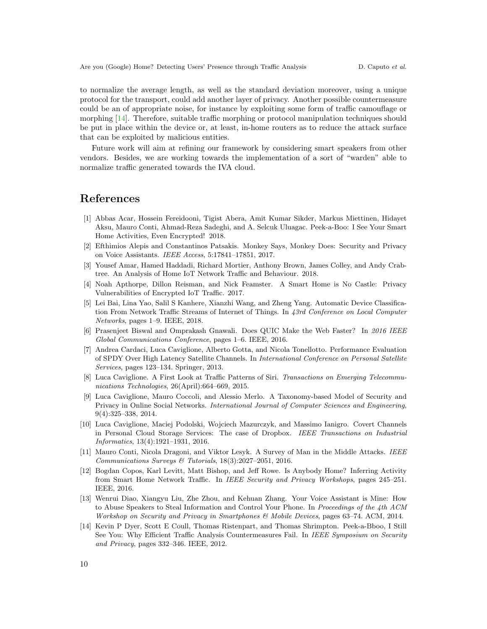to normalize the average length, as well as the standard deviation moreover, using a unique protocol for the transport, could add another layer of privacy. Another possible countermeasure could be an of appropriate noise, for instance by exploiting some form of traffic camouflage or morphing [\[14\]](#page-9-13). Therefore, suitable traffic morphing or protocol manipulation techniques should be put in place within the device or, at least, in-home routers as to reduce the attack surface that can be exploited by malicious entities.

Future work will aim at refining our framework by considering smart speakers from other vendors. Besides, we are working towards the implementation of a sort of "warden" able to normalize traffic generated towards the IVA cloud.

### References

- <span id="page-9-3"></span>[1] Abbas Acar, Hossein Fereidooni, Tigist Abera, Amit Kumar Sikder, Markus Miettinen, Hidayet Aksu, Mauro Conti, Ahmad-Reza Sadeghi, and A. Selcuk Uluagac. Peek-a-Boo: I See Your Smart Home Activities, Even Encrypted! 2018.
- <span id="page-9-7"></span>[2] Efthimios Alepis and Constantinos Patsakis. Monkey Says, Monkey Does: Security and Privacy on Voice Assistants. IEEE Access, 5:17841–17851, 2017.
- <span id="page-9-4"></span>[3] Yousef Amar, Hamed Haddadi, Richard Mortier, Anthony Brown, James Colley, and Andy Crabtree. An Analysis of Home IoT Network Traffic and Behaviour. 2018.
- <span id="page-9-1"></span>[4] Noah Apthorpe, Dillon Reisman, and Nick Feamster. A Smart Home is No Castle: Privacy Vulnerabilities of Encrypted IoT Traffic. 2017.
- <span id="page-9-12"></span>[5] Lei Bai, Lina Yao, Salil S Kanhere, Xianzhi Wang, and Zheng Yang. Automatic Device Classification From Network Traffic Streams of Internet of Things. In 43rd Conference on Local Computer Networks, pages 1–9. IEEE, 2018.
- <span id="page-9-8"></span>[6] Prasenjeet Biswal and Omprakash Gnawali. Does QUIC Make the Web Faster? In 2016 IEEE Global Communications Conference, pages 1–6. IEEE, 2016.
- <span id="page-9-9"></span>[7] Andrea Cardaci, Luca Caviglione, Alberto Gotta, and Nicola Tonellotto. Performance Evaluation of SPDY Over High Latency Satellite Channels. In International Conference on Personal Satellite Services, pages 123–134. Springer, 2013.
- <span id="page-9-0"></span>[8] Luca Caviglione. A First Look at Traffic Patterns of Siri. Transactions on Emerging Telecommunications Technologies, 26(April):664–669, 2015.
- <span id="page-9-11"></span>[9] Luca Caviglione, Mauro Coccoli, and Alessio Merlo. A Taxonomy-based Model of Security and Privacy in Online Social Networks. International Journal of Computer Sciences and Engineering, 9(4):325–338, 2014.
- <span id="page-9-6"></span>[10] Luca Caviglione, Maciej Podolski, Wojciech Mazurczyk, and Massimo Ianigro. Covert Channels in Personal Cloud Storage Services: The case of Dropbox. IEEE Transactions on Industrial Informatics, 13(4):1921–1931, 2016.
- <span id="page-9-10"></span>[11] Mauro Conti, Nicola Dragoni, and Viktor Lesyk. A Survey of Man in the Middle Attacks. IEEE Communications Surveys & Tutorials, 18(3):2027–2051, 2016.
- <span id="page-9-2"></span>[12] Bogdan Copos, Karl Levitt, Matt Bishop, and Jeff Rowe. Is Anybody Home? Inferring Activity from Smart Home Network Traffic. In IEEE Security and Privacy Workshops, pages 245–251. IEEE, 2016.
- <span id="page-9-5"></span>[13] Wenrui Diao, Xiangyu Liu, Zhe Zhou, and Kehuan Zhang. Your Voice Assistant is Mine: How to Abuse Speakers to Steal Information and Control Your Phone. In Proceedings of the 4th ACM Workshop on Security and Privacy in Smartphones & Mobile Devices, pages 63–74. ACM, 2014.
- <span id="page-9-13"></span>[14] Kevin P Dyer, Scott E Coull, Thomas Ristenpart, and Thomas Shrimpton. Peek-a-Bboo, I Still See You: Why Efficient Traffic Analysis Countermeasures Fail. In IEEE Symposium on Security and Privacy, pages 332–346. IEEE, 2012.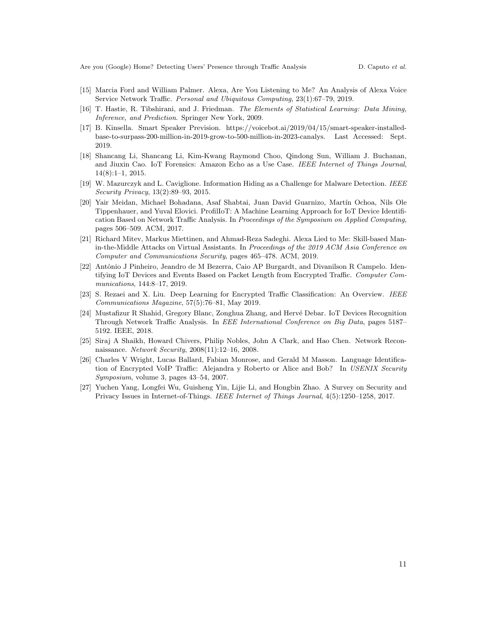- <span id="page-10-3"></span>[15] Marcia Ford and William Palmer. Alexa, Are You Listening to Me? An Analysis of Alexa Voice Service Network Traffic. Personal and Ubiquitous Computing, 23(1):67–79, 2019.
- <span id="page-10-11"></span>[16] T. Hastie, R. Tibshirani, and J. Friedman. The Elements of Statistical Learning: Data Mining, Inference, and Prediction. Springer New York, 2009.
- [17] B. Kinsella. Smart Speaker Prevision. https://voicebot.ai/2019/04/15/smart-speaker-installedbase-to-surpass-200-million-in-2019-grow-to-500-million-in-2023-canalys. Last Accessed: Sept. 2019.
- <span id="page-10-1"></span>[18] Shancang Li, Shancang Li, Kim-Kwang Raymond Choo, Qindong Sun, William J. Buchanan, and Jiuxin Cao. IoT Forensics: Amazon Echo as a Use Case. IEEE Internet of Things Journal, 14(8):1–1, 2015.
- <span id="page-10-2"></span>[19] W. Mazurczyk and L. Caviglione. Information Hiding as a Challenge for Malware Detection. IEEE Security Privacy, 13(2):89–93, 2015.
- <span id="page-10-6"></span>[20] Yair Meidan, Michael Bohadana, Asaf Shabtai, Juan David Guarnizo, Mart´ın Ochoa, Nils Ole Tippenhauer, and Yuval Elovici. ProfilIoT: A Machine Learning Approach for IoT Device Identification Based on Network Traffic Analysis. In Proceedings of the Symposium on Applied Computing, pages 506–509. ACM, 2017.
- <span id="page-10-5"></span>[21] Richard Mitev, Markus Miettinen, and Ahmad-Reza Sadeghi. Alexa Lied to Me: Skill-based Manin-the-Middle Attacks on Virtual Assistants. In Proceedings of the 2019 ACM Asia Conference on Computer and Communications Security, pages 465–478. ACM, 2019.
- <span id="page-10-0"></span>[22] Antônio J Pinheiro, Jeandro de M Bezerra, Caio AP Burgardt, and Divanilson R Campelo. Identifying IoT Devices and Events Based on Packet Length from Encrypted Traffic. Computer Communications, 144:8–17, 2019.
- <span id="page-10-10"></span>[23] S. Rezaei and X. Liu. Deep Learning for Encrypted Traffic Classification: An Overview. IEEE Communications Magazine, 57(5):76–81, May 2019.
- <span id="page-10-7"></span>[24] Mustafizur R Shahid, Gregory Blanc, Zonghua Zhang, and Hervé Debar. IoT Devices Recognition Through Network Traffic Analysis. In EEE International Conference on Big Data, pages 5187– 5192. IEEE, 2018.
- <span id="page-10-9"></span>[25] Siraj A Shaikh, Howard Chivers, Philip Nobles, John A Clark, and Hao Chen. Network Reconnaissance. Network Security, 2008(11):12–16, 2008.
- <span id="page-10-8"></span>[26] Charles V Wright, Lucas Ballard, Fabian Monrose, and Gerald M Masson. Language Identification of Encrypted VoIP Traffic: Alejandra y Roberto or Alice and Bob? In USENIX Security Symposium, volume 3, pages 43–54, 2007.
- <span id="page-10-4"></span>[27] Yuchen Yang, Longfei Wu, Guisheng Yin, Lijie Li, and Hongbin Zhao. A Survey on Security and Privacy Issues in Internet-of-Things. IEEE Internet of Things Journal, 4(5):1250–1258, 2017.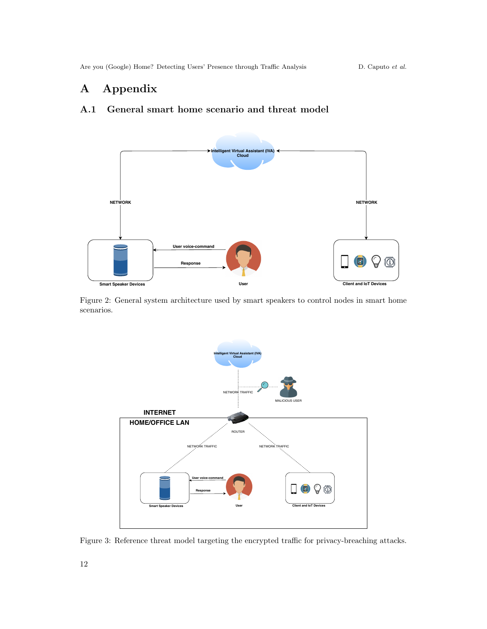Are you (Google) Home? Detecting Users' Presence through Traffic Analysis D. Caputo et al.

## A Appendix

#### A.1 General smart home scenario and threat model

<span id="page-11-0"></span>

Figure 2: General system architecture used by smart speakers to control nodes in smart home scenarios.

<span id="page-11-1"></span>

Figure 3: Reference threat model targeting the encrypted traffic for privacy-breaching attacks.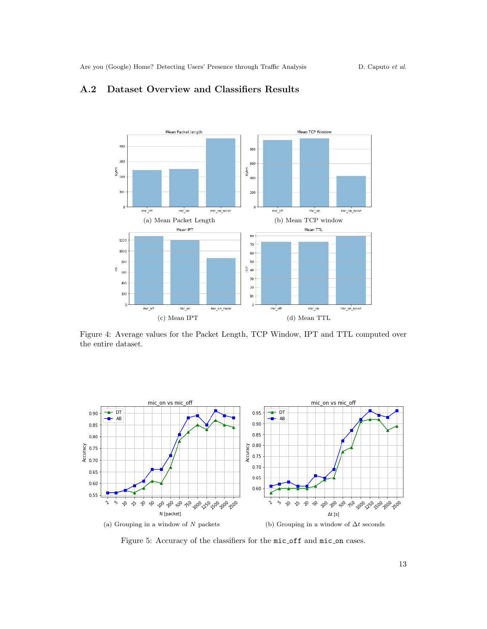<span id="page-12-0"></span>

### A.2 Dataset Overview and Classifiers Results

Figure 4: Average values for the Packet Length, TCP Window, IPT and TTL computed over the entire dataset.

<span id="page-12-1"></span>

Figure 5: Accuracy of the classifiers for the mic\_off and mic\_on cases.